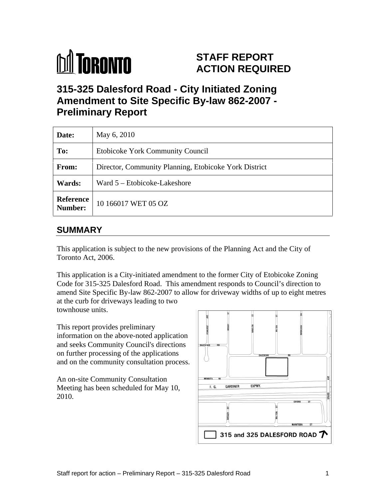

# **STAFF REPORT ACTION REQUIRED**

## **315-325 Dalesford Road - City Initiated Zoning Amendment to Site Specific By-law 862-2007 - Preliminary Report**

| Date:         | May 6, 2010                                           |
|---------------|-------------------------------------------------------|
| To:           | Etobicoke York Community Council                      |
| From:         | Director, Community Planning, Etobicoke York District |
| <b>Wards:</b> | $\sqrt{\frac{1}{2}}$ Ward 5 – Etobicoke-Lakeshore     |
|               | <b>Reference</b> 10 166017 WET 05 OZ                  |

## **SUMMARY**

This application is subject to the new provisions of the Planning Act and the City of Toronto Act, 2006.

This application is a City-initiated amendment to the former City of Etobicoke Zoning Code for 315-325 Dalesford Road. This amendment responds to Council's direction to amend Site Specific By-law 862-2007 to allow for driveway widths of up to eight metres at the curb for driveways leading to two townhouse units.

This report provides preliminary information on the above-noted application

and seeks Community Council's directions on further processing of the applications and on the community consultation process.

An on-site Community Consultation Meeting has been scheduled for May 10,  $\sqrt{\frac{F_{\text{L}} G_{\text{L}}}{F_{\text{L}} G_{\text{L}}}}$ 2010.

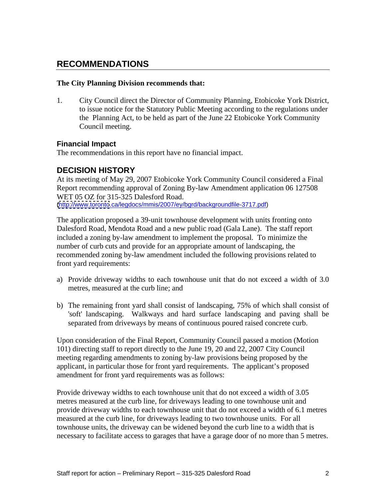#### **RECOMMENDATIONS**

#### **The City Planning Division recommends that:**

1. City Council direct the Director of Community Planning, Etobicoke York District, to issue notice for the Statutory Public Meeting according to the regulations under the Planning Act, to be held as part of the June 22 Etobicoke York Community Council meeting.

#### **Financial Impact**

The recommendations in this report have no financial impact.

#### **DECISION HISTORY**

At its meeting of May 29, 2007 Etobicoke York Community Council considered a Final Report recommending approval of Zoning By-law Amendment application 06 127508 WET 05 OZ for 315-325 Dalesford Road. [\(http://www.toronto](http://www.toronto).ca/legdocs/mmis/2007/ey/bgrd/backgroundfile-3717.pdf)

The application proposed a 39-unit townhouse development with units fronting onto Dalesford Road, Mendota Road and a new public road (Gala Lane). The staff report included a zoning by-law amendment to implement the proposal. To minimize the number of curb cuts and provide for an appropriate amount of landscaping, the recommended zoning by-law amendment included the following provisions related to front yard requirements:

- a) Provide driveway widths to each townhouse unit that do not exceed a width of 3.0 metres, measured at the curb line; and
- b) The remaining front yard shall consist of landscaping, 75% of which shall consist of 'soft' landscaping. Walkways and hard surface landscaping and paving shall be separated from driveways by means of continuous poured raised concrete curb.

Upon consideration of the Final Report, Community Council passed a motion (Motion 101) directing staff to report directly to the June 19, 20 and 22, 2007 City Council meeting regarding amendments to zoning by-law provisions being proposed by the applicant, in particular those for front yard requirements. The applicant's proposed amendment for front yard requirements was as follows:

Provide driveway widths to each townhouse unit that do not exceed a width of 3.05 metres measured at the curb line, for driveways leading to one townhouse unit and provide driveway widths to each townhouse unit that do not exceed a width of 6.1 metres measured at the curb line, for driveways leading to two townhouse units. For all townhouse units, the driveway can be widened beyond the curb line to a width that is necessary to facilitate access to garages that have a garage door of no more than 5 metres.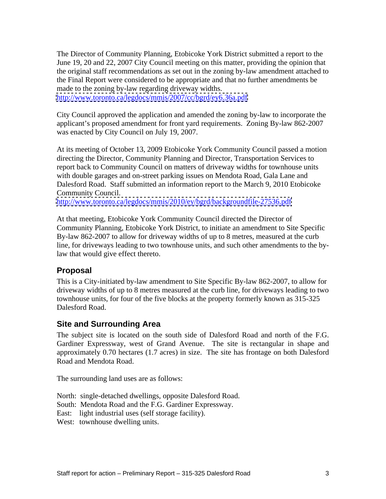The Director of Community Planning, Etobicoke York District submitted a report to the June 19, 20 and 22, 2007 City Council meeting on this matter, providing the opinion that the original staff recommendations as set out in the zoning by-law amendment attached to the Final Report were considered to be appropriate and that no further amendments be made to the zoning by-law regarding driveway widths. <http://www.toronto.ca/legdocs/mmis/2007/cc/bgrd/ey6.36a.pdf>

City Council approved the application and amended the zoning by-law to incorporate the applicant's proposed amendment for front yard requirements. Zoning By-law 862-2007

was enacted by City Council on July 19, 2007.

At its meeting of October 13, 2009 Etobicoke York Community Council passed a motion directing the Director, Community Planning and Director, Transportation Services to report back to Community Council on matters of driveway widths for townhouse units with double garages and on-street parking issues on Mendota Road, Gala Lane and Dalesford Road. Staff submitted an information report to the March 9, 2010 Etobicoke Community Council.

<http://www.toronto.ca/legdocs/mmis/2010/ey/bgrd/backgroundfile-27536.pdf>

At that meeting, Etobicoke York Community Council directed the Director of Community Planning, Etobicoke York District, to initiate an amendment to Site Specific By-law 862-2007 to allow for driveway widths of up to 8 metres, measured at the curb line, for driveways leading to two townhouse units, and such other amendments to the bylaw that would give effect thereto.

#### **Proposal**

This is a City-initiated by-law amendment to Site Specific By-law 862-2007, to allow for driveway widths of up to 8 metres measured at the curb line, for driveways leading to two townhouse units, for four of the five blocks at the property formerly known as 315-325 Dalesford Road.

#### **Site and Surrounding Area**

The subject site is located on the south side of Dalesford Road and north of the F.G. Gardiner Expressway, west of Grand Avenue. The site is rectangular in shape and approximately 0.70 hectares (1.7 acres) in size. The site has frontage on both Dalesford Road and Mendota Road.

The surrounding land uses are as follows:

North: single-detached dwellings, opposite Dalesford Road.

South: Mendota Road and the F.G. Gardiner Expressway.

East: light industrial uses (self storage facility).

West: townhouse dwelling units.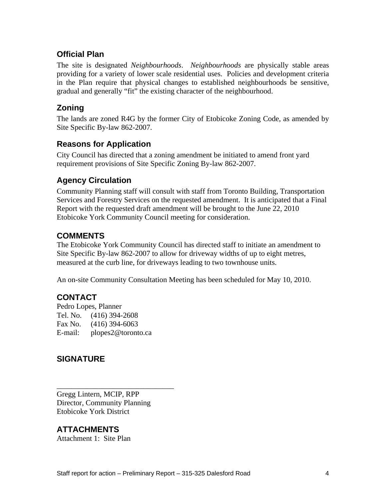### **Official Plan**

The site is designated *Neighbourhoods*. *Neighbourhoods* are physically stable areas providing for a variety of lower scale residential uses. Policies and development criteria in the Plan require that physical changes to established neighbourhoods be sensitive, gradual and generally "fit" the existing character of the neighbourhood.

#### **Zoning**

The lands are zoned R4G by the former City of Etobicoke Zoning Code, as amended by Site Specific By-law 862-2007.

#### **Reasons for Application**

City Council has directed that a zoning amendment be initiated to amend front yard requirement provisions of Site Specific Zoning By-law 862-2007.

## **Agency Circulation**

Community Planning staff will consult with staff from Toronto Building, Transportation Services and Forestry Services on the requested amendment. It is anticipated that a Final Report with the requested draft amendment will be brought to the June 22, 2010 Etobicoke York Community Council meeting for consideration.

#### **COMMENTS**

The Etobicoke York Community Council has directed staff to initiate an amendment to Site Specific By-law 862-2007 to allow for driveway widths of up to eight metres, measured at the curb line, for driveways leading to two townhouse units.

An on-site Community Consultation Meeting has been scheduled for May 10, 2010.

## **CONTACT**

Pedro Lopes, Planner Tel. No. (416) 394-2608 Fax No. (416) 394-6063 E-mail: plopes2@toronto.ca

#### **SIGNATURE**

 $\overline{\phantom{a}}$  , we can assume that the contract of  $\overline{\phantom{a}}$  , we can assume that the contract of  $\overline{\phantom{a}}$ Gregg Lintern, MCIP, RPP Director, Community Planning Etobicoke York District

### **ATTACHMENTS**

Attachment 1: Site Plan